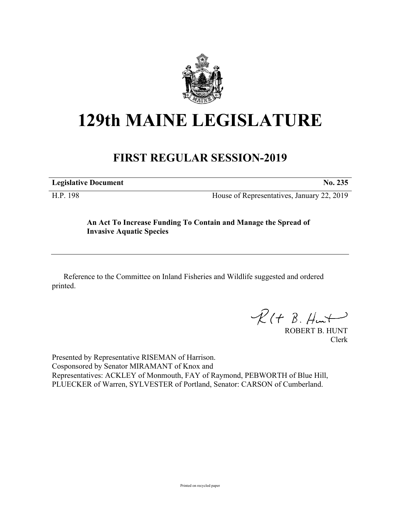

## **129th MAINE LEGISLATURE**

## **FIRST REGULAR SESSION-2019**

**Legislative Document No. 235**

H.P. 198 House of Representatives, January 22, 2019

## **An Act To Increase Funding To Contain and Manage the Spread of Invasive Aquatic Species**

Reference to the Committee on Inland Fisheries and Wildlife suggested and ordered printed.

 $R(H B. H<sub>un</sub>+)$ 

ROBERT B. HUNT Clerk

Presented by Representative RISEMAN of Harrison. Cosponsored by Senator MIRAMANT of Knox and Representatives: ACKLEY of Monmouth, FAY of Raymond, PEBWORTH of Blue Hill, PLUECKER of Warren, SYLVESTER of Portland, Senator: CARSON of Cumberland.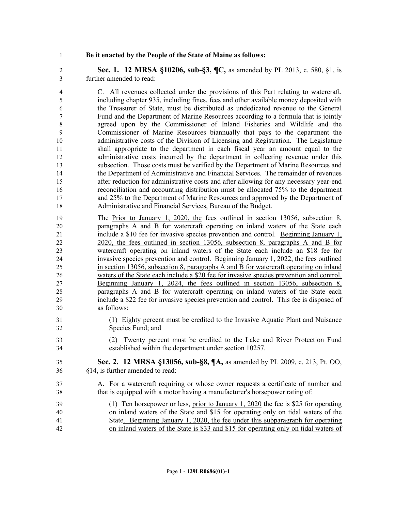## **Be it enacted by the People of the State of Maine as follows:**

 **Sec. 1. 12 MRSA §10206, sub-§3, ¶C,** as amended by PL 2013, c. 580, §1, is further amended to read:

 C. All revenues collected under the provisions of this Part relating to watercraft, including chapter 935, including fines, fees and other available money deposited with the Treasurer of State, must be distributed as undedicated revenue to the General Fund and the Department of Marine Resources according to a formula that is jointly agreed upon by the Commissioner of Inland Fisheries and Wildlife and the Commissioner of Marine Resources biannually that pays to the department the administrative costs of the Division of Licensing and Registration. The Legislature shall appropriate to the department in each fiscal year an amount equal to the administrative costs incurred by the department in collecting revenue under this subsection. Those costs must be verified by the Department of Marine Resources and the Department of Administrative and Financial Services. The remainder of revenues after reduction for administrative costs and after allowing for any necessary year-end reconciliation and accounting distribution must be allocated 75% to the department and 25% to the Department of Marine Resources and approved by the Department of Administrative and Financial Services, Bureau of the Budget.

 The Prior to January 1, 2020, the fees outlined in section 13056, subsection 8, paragraphs A and B for watercraft operating on inland waters of the State each include a \$10 fee for invasive species prevention and control. Beginning January 1, 2020, the fees outlined in section 13056, subsection 8, paragraphs A and B for watercraft operating on inland waters of the State each include an \$18 fee for invasive species prevention and control. Beginning January 1, 2022, the fees outlined in section 13056, subsection 8, paragraphs A and B for watercraft operating on inland waters of the State each include a \$20 fee for invasive species prevention and control. Beginning January 1, 2024, the fees outlined in section 13056, subsection 8, paragraphs A and B for watercraft operating on inland waters of the State each include a \$22 fee for invasive species prevention and control. This fee is disposed of as follows:

- (1) Eighty percent must be credited to the Invasive Aquatic Plant and Nuisance Species Fund; and
- (2) Twenty percent must be credited to the Lake and River Protection Fund established within the department under section 10257.
- **Sec. 2. 12 MRSA §13056, sub-§8, ¶A,** as amended by PL 2009, c. 213, Pt. OO, §14, is further amended to read:
- A. For a watercraft requiring or whose owner requests a certificate of number and that is equipped with a motor having a manufacturer's horsepower rating of:
- (1) Ten horsepower or less, prior to January 1, 2020 the fee is \$25 for operating on inland waters of the State and \$15 for operating only on tidal waters of the State. Beginning January 1, 2020, the fee under this subparagraph for operating on inland waters of the State is \$33 and \$15 for operating only on tidal waters of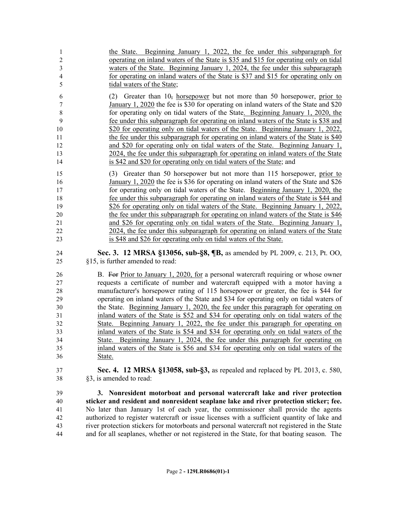the State. Beginning January 1, 2022, the fee under this subparagraph for operating on inland waters of the State is \$35 and \$15 for operating only on tidal waters of the State. Beginning January 1, 2024, the fee under this subparagraph for operating on inland waters of the State is \$37 and \$15 for operating only on tidal waters of the State; 6 (2) Greater than  $10<sub>z</sub>$  horsepower but not more than 50 horsepower, prior to January 1, 2020 the fee is \$30 for operating on inland waters of the State and \$20 8 for operating only on tidal waters of the State. Beginning January 1, 2020, the fee under this subparagraph for operating on inland waters of the State is \$38 and 10 \$20 for operating only on tidal waters of the State. Beginning January 1, 2022, 11 the fee under this subparagraph for operating on inland waters of the State is \$40 and \$20 for operating only on tidal waters of the State. Beginning January 1, 2024, the fee under this subparagraph for operating on inland waters of the State is \$42 and \$20 for operating only on tidal waters of the State; and (3) Greater than 50 horsepower but not more than 115 horsepower, prior to January 1, 2020 the fee is \$36 for operating on inland waters of the State and \$26 for operating only on tidal waters of the State. Beginning January 1, 2020, the fee under this subparagraph for operating on inland waters of the State is \$44 and \$26 for operating only on tidal waters of the State. Beginning January 1, 2022, the fee under this subparagraph for operating on inland waters of the State is \$46 and \$26 for operating only on tidal waters of the State. Beginning January 1, 2024, the fee under this subparagraph for operating on inland waters of the State is \$48 and \$26 for operating only on tidal waters of the State. **Sec. 3. 12 MRSA §13056, sub-§8, ¶B,** as amended by PL 2009, c. 213, Pt. OO, §15, is further amended to read: B. For Prior to January 1, 2020, for a personal watercraft requiring or whose owner requests a certificate of number and watercraft equipped with a motor having a manufacturer's horsepower rating of 115 horsepower or greater, the fee is \$44 for operating on inland waters of the State and \$34 for operating only on tidal waters of the State. Beginning January 1, 2020, the fee under this paragraph for operating on inland waters of the State is \$52 and \$34 for operating only on tidal waters of the State. Beginning January 1, 2022, the fee under this paragraph for operating on inland waters of the State is \$54 and \$34 for operating only on tidal waters of the State. Beginning January 1, 2024, the fee under this paragraph for operating on inland waters of the State is \$56 and \$34 for operating only on tidal waters of the State. **Sec. 4. 12 MRSA §13058, sub-§3,** as repealed and replaced by PL 2013, c. 580, §3, is amended to read: **3. Nonresident motorboat and personal watercraft lake and river protection** 

 **sticker and resident and nonresident seaplane lake and river protection sticker; fee.** No later than January 1st of each year, the commissioner shall provide the agents authorized to register watercraft or issue licenses with a sufficient quantity of lake and river protection stickers for motorboats and personal watercraft not registered in the State and for all seaplanes, whether or not registered in the State, for that boating season. The